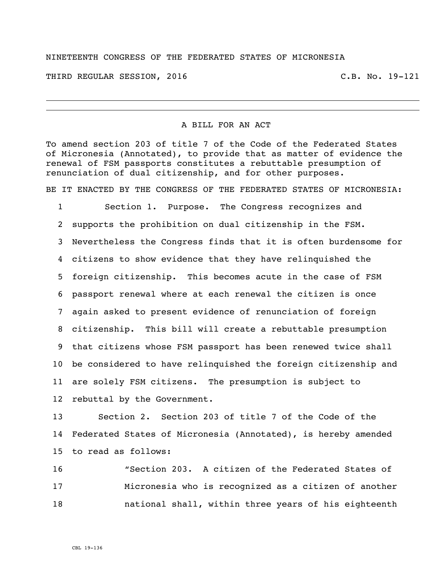## NINETEENTH CONGRESS OF THE FEDERATED STATES OF MICRONESIA

THIRD REGULAR SESSION, 2016 C.B. No. 19-121

## A BILL FOR AN ACT

To amend section 203 of title 7 of the Code of the Federated States of Micronesia (Annotated), to provide that as matter of evidence the renewal of FSM passports constitutes a rebuttable presumption of renunciation of dual citizenship, and for other purposes.

BE IT ENACTED BY THE CONGRESS OF THE FEDERATED STATES OF MICRONESIA:

 Section 1. Purpose. The Congress recognizes and supports the prohibition on dual citizenship in the FSM. Nevertheless the Congress finds that it is often burdensome for citizens to show evidence that they have relinquished the foreign citizenship. This becomes acute in the case of FSM passport renewal where at each renewal the citizen is once again asked to present evidence of renunciation of foreign citizenship. This bill will create a rebuttable presumption that citizens whose FSM passport has been renewed twice shall be considered to have relinquished the foreign citizenship and are solely FSM citizens. The presumption is subject to rebuttal by the Government.

 Section 2. Section 203 of title 7 of the Code of the Federated States of Micronesia (Annotated), is hereby amended to read as follows:

 "Section 203. A citizen of the Federated States of Micronesia who is recognized as a citizen of another national shall, within three years of his eighteenth